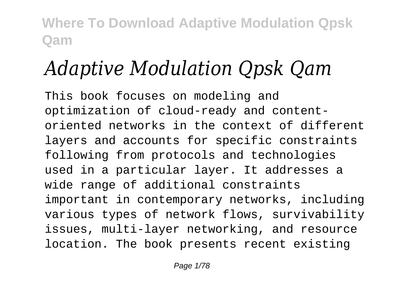# *Adaptive Modulation Qpsk Qam*

This book focuses on modeling and optimization of cloud-ready and contentoriented networks in the context of different layers and accounts for specific constraints following from protocols and technologies used in a particular layer. It addresses a wide range of additional constraints important in contemporary networks, including various types of network flows, survivability issues, multi-layer networking, and resource location. The book presents recent existing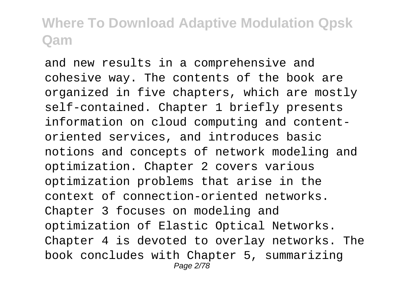and new results in a comprehensive and cohesive way. The contents of the book are organized in five chapters, which are mostly self-contained. Chapter 1 briefly presents information on cloud computing and contentoriented services, and introduces basic notions and concepts of network modeling and optimization. Chapter 2 covers various optimization problems that arise in the context of connection-oriented networks. Chapter 3 focuses on modeling and optimization of Elastic Optical Networks. Chapter 4 is devoted to overlay networks. The book concludes with Chapter 5, summarizing Page 2/78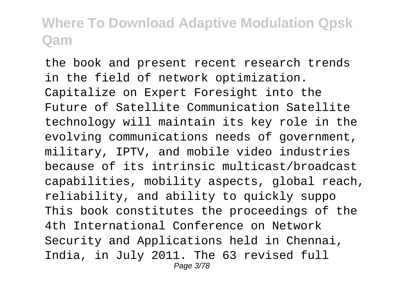the book and present recent research trends in the field of network optimization. Capitalize on Expert Foresight into the Future of Satellite Communication Satellite technology will maintain its key role in the evolving communications needs of government, military, IPTV, and mobile video industries because of its intrinsic multicast/broadcast capabilities, mobility aspects, global reach, reliability, and ability to quickly suppo This book constitutes the proceedings of the 4th International Conference on Network Security and Applications held in Chennai, India, in July 2011. The 63 revised full Page 3/78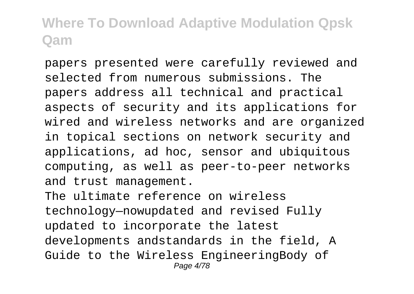papers presented were carefully reviewed and selected from numerous submissions. The papers address all technical and practical aspects of security and its applications for wired and wireless networks and are organized in topical sections on network security and applications, ad hoc, sensor and ubiquitous computing, as well as peer-to-peer networks and trust management.

The ultimate reference on wireless technology—nowupdated and revised Fully updated to incorporate the latest developments andstandards in the field, A Guide to the Wireless EngineeringBody of Page 4/78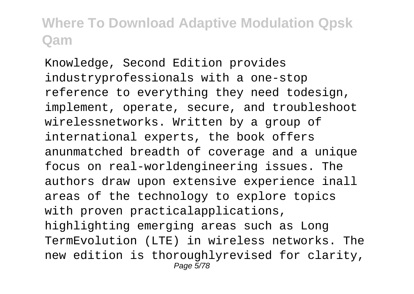Knowledge, Second Edition provides industryprofessionals with a one-stop reference to everything they need todesign, implement, operate, secure, and troubleshoot wirelessnetworks. Written by a group of international experts, the book offers anunmatched breadth of coverage and a unique focus on real-worldengineering issues. The authors draw upon extensive experience inall areas of the technology to explore topics with proven practicalapplications, highlighting emerging areas such as Long TermEvolution (LTE) in wireless networks. The new edition is thoroughlyrevised for clarity, Page 5/78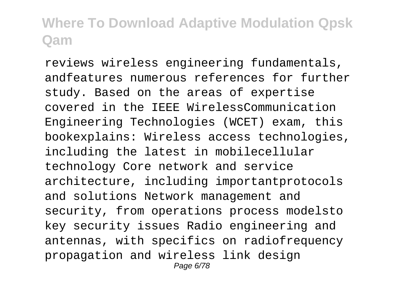reviews wireless engineering fundamentals, andfeatures numerous references for further study. Based on the areas of expertise covered in the IEEE WirelessCommunication Engineering Technologies (WCET) exam, this bookexplains: Wireless access technologies, including the latest in mobilecellular technology Core network and service architecture, including importantprotocols and solutions Network management and security, from operations process modelsto key security issues Radio engineering and antennas, with specifics on radiofrequency propagation and wireless link design Page 6/78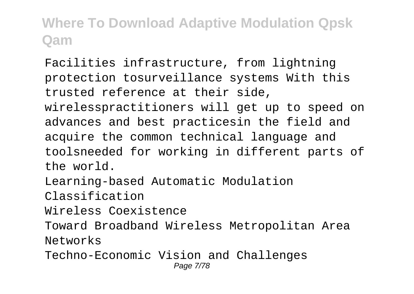Facilities infrastructure, from lightning protection tosurveillance systems With this trusted reference at their side, wirelesspractitioners will get up to speed on advances and best practicesin the field and acquire the common technical language and toolsneeded for working in different parts of the world. Learning-based Automatic Modulation Classification

Wireless Coexistence

Toward Broadband Wireless Metropolitan Area Networks

Techno-Economic Vision and Challenges Page 7/78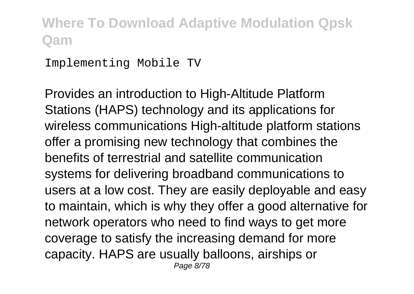Implementing Mobile TV

Provides an introduction to High-Altitude Platform Stations (HAPS) technology and its applications for wireless communications High-altitude platform stations offer a promising new technology that combines the benefits of terrestrial and satellite communication systems for delivering broadband communications to users at a low cost. They are easily deployable and easy to maintain, which is why they offer a good alternative for network operators who need to find ways to get more coverage to satisfy the increasing demand for more capacity. HAPS are usually balloons, airships or Page 8/78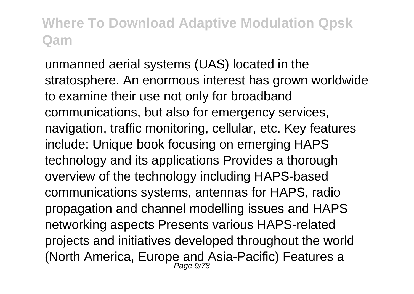unmanned aerial systems (UAS) located in the stratosphere. An enormous interest has grown worldwide to examine their use not only for broadband communications, but also for emergency services, navigation, traffic monitoring, cellular, etc. Key features include: Unique book focusing on emerging HAPS technology and its applications Provides a thorough overview of the technology including HAPS-based communications systems, antennas for HAPS, radio propagation and channel modelling issues and HAPS networking aspects Presents various HAPS-related projects and initiatives developed throughout the world (North America, Europe and Asia-Pacific) Features a Page 9/78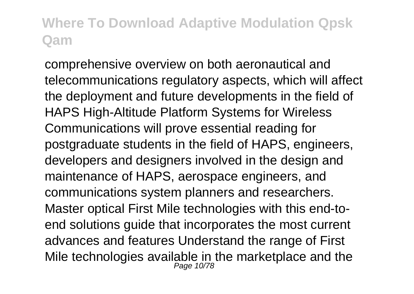comprehensive overview on both aeronautical and telecommunications regulatory aspects, which will affect the deployment and future developments in the field of HAPS High-Altitude Platform Systems for Wireless Communications will prove essential reading for postgraduate students in the field of HAPS, engineers, developers and designers involved in the design and maintenance of HAPS, aerospace engineers, and communications system planners and researchers. Master optical First Mile technologies with this end-toend solutions guide that incorporates the most current advances and features Understand the range of First Mile technologies available in the marketplace and the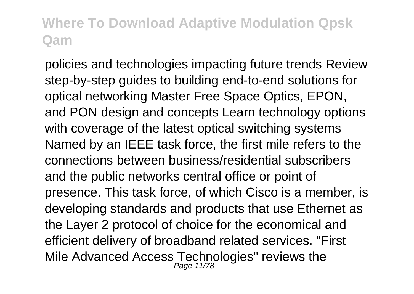policies and technologies impacting future trends Review step-by-step guides to building end-to-end solutions for optical networking Master Free Space Optics, EPON, and PON design and concepts Learn technology options with coverage of the latest optical switching systems Named by an IEEE task force, the first mile refers to the connections between business/residential subscribers and the public networks central office or point of presence. This task force, of which Cisco is a member, is developing standards and products that use Ethernet as the Layer 2 protocol of choice for the economical and efficient delivery of broadband related services. "First Mile Advanced Access Technologies" reviews the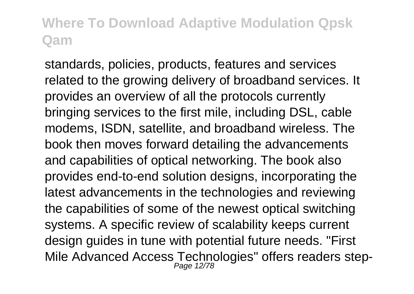standards, policies, products, features and services related to the growing delivery of broadband services. It provides an overview of all the protocols currently bringing services to the first mile, including DSL, cable modems, ISDN, satellite, and broadband wireless. The book then moves forward detailing the advancements and capabilities of optical networking. The book also provides end-to-end solution designs, incorporating the latest advancements in the technologies and reviewing the capabilities of some of the newest optical switching systems. A specific review of scalability keeps current design guides in tune with potential future needs. "First Mile Advanced Access Technologies" offers readers step-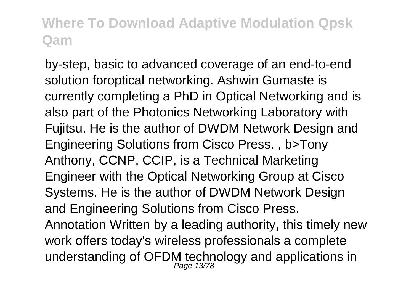by-step, basic to advanced coverage of an end-to-end solution foroptical networking. Ashwin Gumaste is currently completing a PhD in Optical Networking and is also part of the Photonics Networking Laboratory with Fujitsu. He is the author of DWDM Network Design and Engineering Solutions from Cisco Press. , b>Tony Anthony, CCNP, CCIP, is a Technical Marketing Engineer with the Optical Networking Group at Cisco Systems. He is the author of DWDM Network Design and Engineering Solutions from Cisco Press. Annotation Written by a leading authority, this timely new work offers today's wireless professionals a complete understanding of OFDM technology and applications in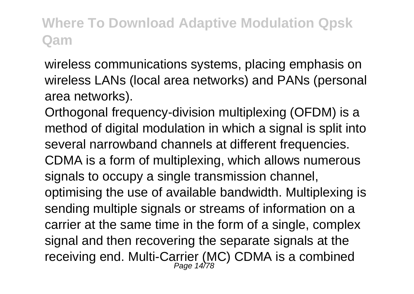wireless communications systems, placing emphasis on wireless LANs (local area networks) and PANs (personal area networks).

Orthogonal frequency-division multiplexing (OFDM) is a method of digital modulation in which a signal is split into several narrowband channels at different frequencies. CDMA is a form of multiplexing, which allows numerous signals to occupy a single transmission channel, optimising the use of available bandwidth. Multiplexing is sending multiple signals or streams of information on a carrier at the same time in the form of a single, complex signal and then recovering the separate signals at the receiving end. Multi-Carrier (MC) CDMA is a combined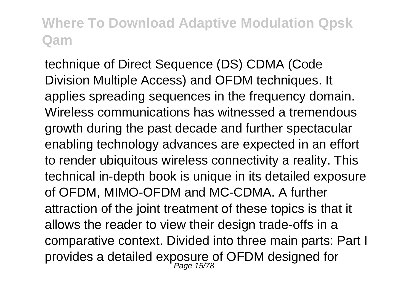technique of Direct Sequence (DS) CDMA (Code Division Multiple Access) and OFDM techniques. It applies spreading sequences in the frequency domain. Wireless communications has witnessed a tremendous growth during the past decade and further spectacular enabling technology advances are expected in an effort to render ubiquitous wireless connectivity a reality. This technical in-depth book is unique in its detailed exposure of OFDM, MIMO-OFDM and MC-CDMA. A further attraction of the joint treatment of these topics is that it allows the reader to view their design trade-offs in a comparative context. Divided into three main parts: Part I provides a detailed exposure of OFDM designed for<br>Page 15/78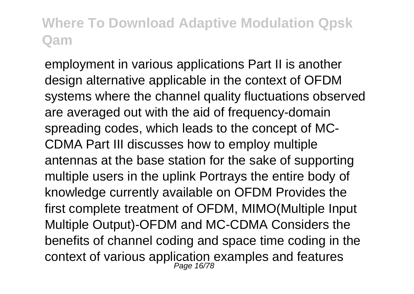employment in various applications Part II is another design alternative applicable in the context of OFDM systems where the channel quality fluctuations observed are averaged out with the aid of frequency-domain spreading codes, which leads to the concept of MC-CDMA Part III discusses how to employ multiple antennas at the base station for the sake of supporting multiple users in the uplink Portrays the entire body of knowledge currently available on OFDM Provides the first complete treatment of OFDM, MIMO(Multiple Input Multiple Output)-OFDM and MC-CDMA Considers the benefits of channel coding and space time coding in the context of various application examples and features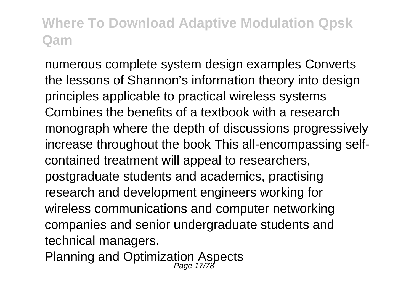numerous complete system design examples Converts the lessons of Shannon's information theory into design principles applicable to practical wireless systems Combines the benefits of a textbook with a research monograph where the depth of discussions progressively increase throughout the book This all-encompassing selfcontained treatment will appeal to researchers, postgraduate students and academics, practising research and development engineers working for wireless communications and computer networking companies and senior undergraduate students and technical managers.

Planning and Optimization Aspects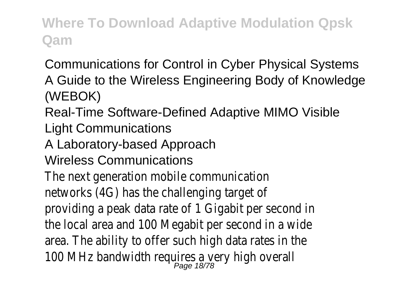Communications for Control in Cyber Physical Systems A Guide to the Wireless Engineering Body of Knowledge (WEBOK)

Real-Time Software-Defined Adaptive MIMO Visible

Light Communications

A Laboratory-based Approach

Wireless Communications

The next generation mobile communication networks (4G) has the challenging target of providing a peak data rate of 1 Gigabit per second in the local area and 100 Megabit per second in a wide area. The ability to offer such high data rates in the 100 MHz bandwidth requires a very high overall<br>Page 18/78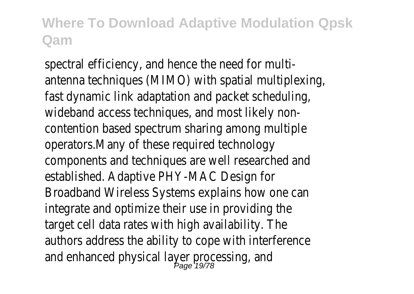spectral efficiency, and hence the need for multiantenna techniques (MIMO) with spatial multiplexing, fast dynamic link adaptation and packet scheduling, wideband access techniques, and most likely noncontention based spectrum sharing among multiple operators.Many of these required technology components and techniques are well researched and established. Adaptive PHY-MAC Design for Broadband Wireless Systems explains how one can integrate and optimize their use in providing the target cell data rates with high availability. The authors address the ability to cope with interference and enhanced physical layer processing, and<br>
<sub>Page</sub> 1978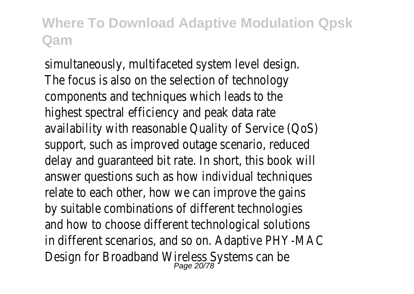simultaneously, multifaceted system level design. The focus is also on the selection of technology components and techniques which leads to the highest spectral efficiency and peak data rate availability with reasonable Quality of Service (QoS) support, such as improved outage scenario, reduced delay and guaranteed bit rate. In short, this book will answer questions such as how individual techniques relate to each other, how we can improve the gains by suitable combinations of different technologies and how to choose different technological solutions in different scenarios, and so on. Adaptive PHY-MAC Design for Broadband Wireless Systems can be Page 20/78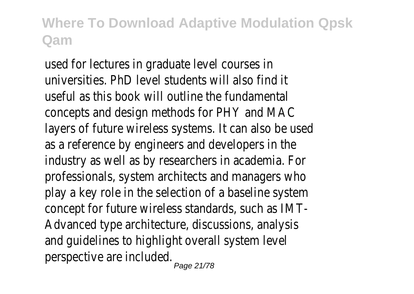used for lectures in graduate level courses in universities. PhD level students will also find it useful as this book will outline the fundamental concepts and design methods for PHY and MAC layers of future wireless systems. It can also be used as a reference by engineers and developers in the industry as well as by researchers in academia. For professionals, system architects and managers who play a key role in the selection of a baseline system concept for future wireless standards, such as IMT-Advanced type architecture, discussions, analysis and guidelines to highlight overall system level perspective are included. Page 21/78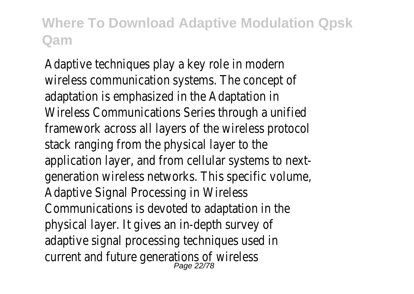Adaptive techniques play a key role in modern wireless communication systems. The concept of adaptation is emphasized in the Adaptation in Wireless Communications Series through a unified framework across all layers of the wireless protocol stack ranging from the physical layer to the application layer, and from cellular systems to nextgeneration wireless networks. This specific volume, Adaptive Signal Processing in Wireless Communications is devoted to adaptation in the physical layer. It gives an in-depth survey of adaptive signal processing techniques used in current and future generations of wireless<br>Page 22/78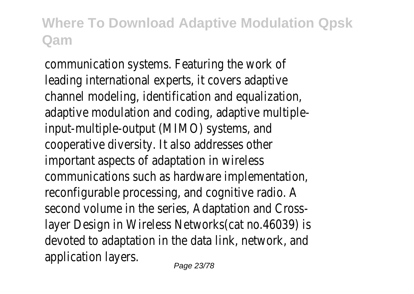communication systems. Featuring the work of leading international experts, it covers adaptive channel modeling, identification and equalization, adaptive modulation and coding, adaptive multipleinput-multiple-output (MIMO) systems, and cooperative diversity. It also addresses other important aspects of adaptation in wireless communications such as hardware implementation, reconfigurable processing, and cognitive radio. A second volume in the series, Adaptation and Crosslayer Design in Wireless Networks(cat no.46039) is devoted to adaptation in the data link, network, and application layers.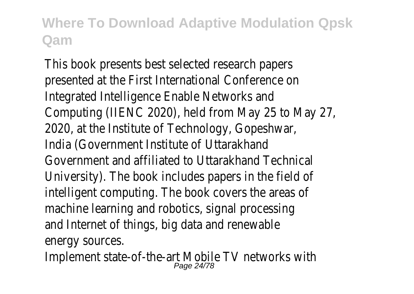This book presents best selected research papers presented at the First International Conference on Integrated Intelligence Enable Networks and Computing (IIENC 2020), held from May 25 to May 27, 2020, at the Institute of Technology, Gopeshwar, India (Government Institute of Uttarakhand Government and affiliated to Uttarakhand Technical University). The book includes papers in the field of intelligent computing. The book covers the areas of machine learning and robotics, signal processing and Internet of things, big data and renewable energy sources.

Implement state-of-the-art Mobile TV networks with Page 24/78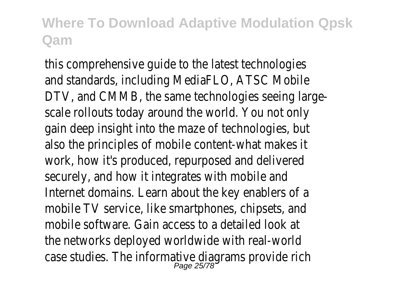this comprehensive guide to the latest technologies and standards, including MediaFLO, ATSC Mobile DTV, and CMMB, the same technologies seeing largescale rollouts today around the world. You not only gain deep insight into the maze of technologies, but also the principles of mobile content-what makes it work, how it's produced, repurposed and delivered securely, and how it integrates with mobile and Internet domains. Learn about the key enablers of a mobile TV service, like smartphones, chipsets, and mobile software. Gain access to a detailed look at the networks deployed worldwide with real-world case studies. The informative diagrams provide rich<br>Page 25/78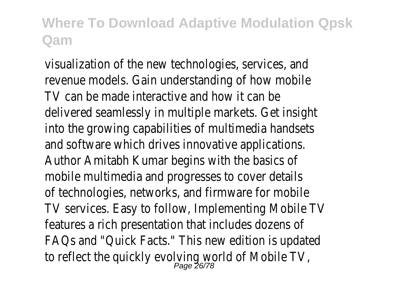visualization of the new technologies, services, and revenue models. Gain understanding of how mobile TV can be made interactive and how it can be delivered seamlessly in multiple markets. Get insight into the growing capabilities of multimedia handsets and software which drives innovative applications. Author Amitabh Kumar begins with the basics of mobile multimedia and progresses to cover details of technologies, networks, and firmware for mobile TV services. Easy to follow, Implementing Mobile TV features a rich presentation that includes dozens of FAQs and "Quick Facts." This new edition is updated to reflect the quickly evolving world of Mobile TV,<br>Page 26/78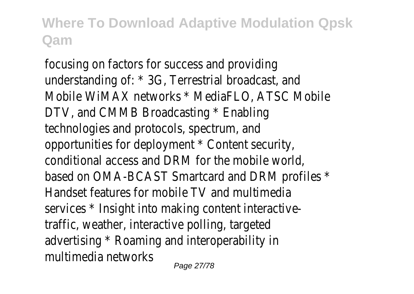focusing on factors for success and providing understanding of: \* 3G, Terrestrial broadcast, and Mobile WiMAX networks \* MediaFLO, ATSC Mobile DTV, and CMMB Broadcasting \* Enabling technologies and protocols, spectrum, and opportunities for deployment \* Content security, conditional access and DRM for the mobile world, based on OMA-BCAST Smartcard and DRM profiles \* Handset features for mobile TV and multimedia services \* Insight into making content interactivetraffic, weather, interactive polling, targeted advertising \* Roaming and interoperability in multimedia networks

Page 27/78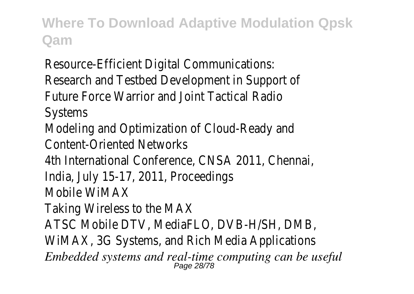Resource-Efficient Digital Communications: Research and Testbed Development in Support of Future Force Warrior and Joint Tactical Radio Systems Modeling and Optimization of Cloud-Ready and Content-Oriented Networks 4th International Conference, CNSA 2011, Chennai, India, July 15-17, 2011, Proceedings Mobile WiMAX Taking Wireless to the MAX ATSC Mobile DTV, MediaFLO, DVB-H/SH, DMB, WiMAX, 3G Systems, and Rich Media Applications *Embedded systems and real-time computing can be useful* Page 28/78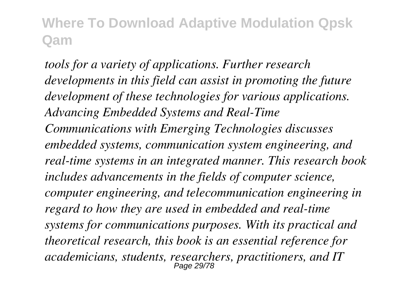*tools for a variety of applications. Further research developments in this field can assist in promoting the future development of these technologies for various applications. Advancing Embedded Systems and Real-Time Communications with Emerging Technologies discusses embedded systems, communication system engineering, and real-time systems in an integrated manner. This research book includes advancements in the fields of computer science, computer engineering, and telecommunication engineering in regard to how they are used in embedded and real-time systems for communications purposes. With its practical and theoretical research, this book is an essential reference for academicians, students, researchers, practitioners, and IT* Page 29/78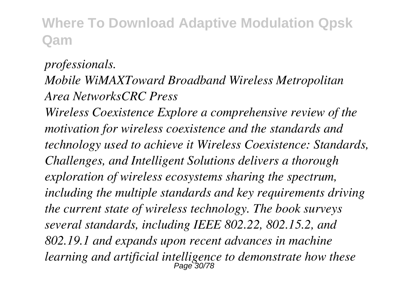#### *professionals. Mobile WiMAXToward Broadband Wireless Metropolitan Area NetworksCRC Press Wireless Coexistence Explore a comprehensive review of the motivation for wireless coexistence and the standards and technology used to achieve it Wireless Coexistence: Standards, Challenges, and Intelligent Solutions delivers a thorough exploration of wireless ecosystems sharing the spectrum, including the multiple standards and key requirements driving the current state of wireless technology. The book surveys several standards, including IEEE 802.22, 802.15.2, and 802.19.1 and expands upon recent advances in machine learning and artificial intelligence to demonstrate how these* Page 30/78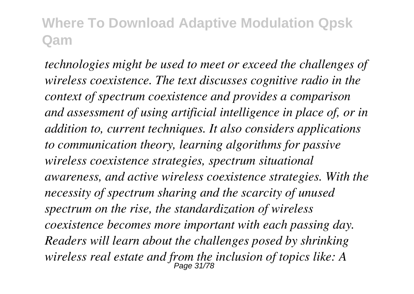*technologies might be used to meet or exceed the challenges of wireless coexistence. The text discusses cognitive radio in the context of spectrum coexistence and provides a comparison and assessment of using artificial intelligence in place of, or in addition to, current techniques. It also considers applications to communication theory, learning algorithms for passive wireless coexistence strategies, spectrum situational awareness, and active wireless coexistence strategies. With the necessity of spectrum sharing and the scarcity of unused spectrum on the rise, the standardization of wireless coexistence becomes more important with each passing day. Readers will learn about the challenges posed by shrinking wireless real estate and from the inclusion of topics like: A* Page 31/78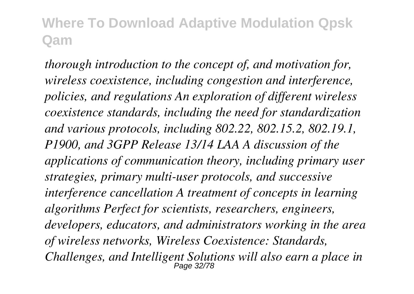*thorough introduction to the concept of, and motivation for, wireless coexistence, including congestion and interference, policies, and regulations An exploration of different wireless coexistence standards, including the need for standardization and various protocols, including 802.22, 802.15.2, 802.19.1, P1900, and 3GPP Release 13/14 LAA A discussion of the applications of communication theory, including primary user strategies, primary multi-user protocols, and successive interference cancellation A treatment of concepts in learning algorithms Perfect for scientists, researchers, engineers, developers, educators, and administrators working in the area of wireless networks, Wireless Coexistence: Standards, Challenges, and Intelligent Solutions will also earn a place in* Page 32/78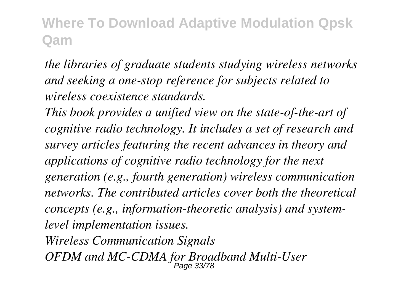*the libraries of graduate students studying wireless networks and seeking a one-stop reference for subjects related to wireless coexistence standards.*

*This book provides a unified view on the state-of-the-art of cognitive radio technology. It includes a set of research and survey articles featuring the recent advances in theory and applications of cognitive radio technology for the next generation (e.g., fourth generation) wireless communication networks. The contributed articles cover both the theoretical concepts (e.g., information-theoretic analysis) and systemlevel implementation issues.*

*Wireless Communication Signals OFDM and MC-CDMA for Broadband Multi-User* Page 33/78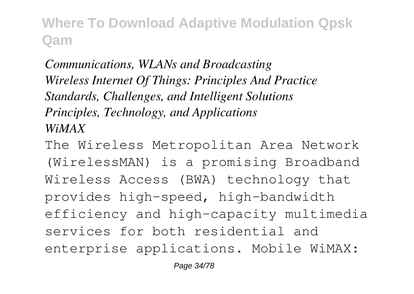*Communications, WLANs and Broadcasting Wireless Internet Of Things: Principles And Practice Standards, Challenges, and Intelligent Solutions Principles, Technology, and Applications WiMAX*

The Wireless Metropolitan Area Network (WirelessMAN) is a promising Broadband Wireless Access (BWA) technology that provides high-speed, high-bandwidth efficiency and high-capacity multimedia services for both residential and enterprise applications. Mobile WiMAX: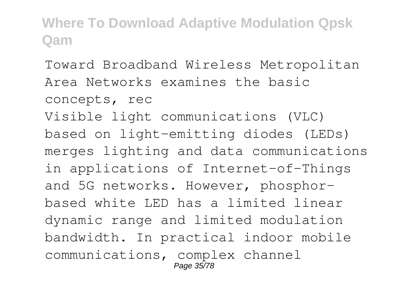Toward Broadband Wireless Metropolitan Area Networks examines the basic concepts, rec Visible light communications (VLC) based on light-emitting diodes (LEDs) merges lighting and data communications in applications of Internet-of-Things and 5G networks. However, phosphorbased white LED has a limited linear dynamic range and limited modulation bandwidth. In practical indoor mobile communications, complex channel Page 35/78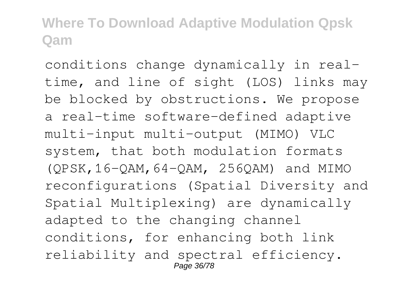conditions change dynamically in realtime, and line of sight (LOS) links may be blocked by obstructions. We propose a real-time software-defined adaptive multi-input multi-output (MIMO) VLC system, that both modulation formats (QPSK,16-QAM,64-QAM, 256QAM) and MIMO reconfigurations (Spatial Diversity and Spatial Multiplexing) are dynamically adapted to the changing channel conditions, for enhancing both link reliability and spectral efficiency. Page 36/78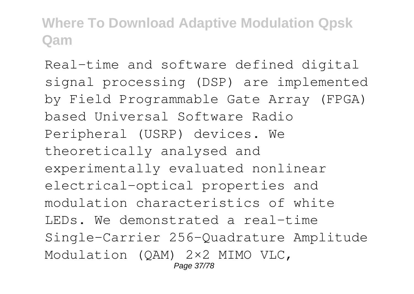Real-time and software defined digital signal processing (DSP) are implemented by Field Programmable Gate Array (FPGA) based Universal Software Radio Peripheral (USRP) devices. We theoretically analysed and experimentally evaluated nonlinear electrical-optical properties and modulation characteristics of white LEDs. We demonstrated a real-time Single-Carrier 256-Quadrature Amplitude Modulation (QAM) 2×2 MIMO VLC, Page 37/78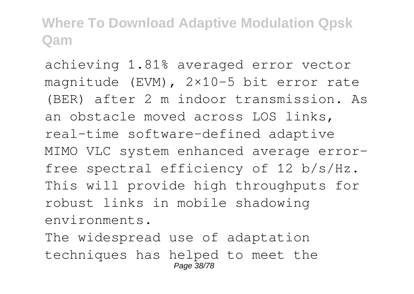achieving 1.81% averaged error vector magnitude (EVM), 2×10-5 bit error rate (BER) after 2 m indoor transmission. As an obstacle moved across LOS links, real-time software-defined adaptive MIMO VLC system enhanced average errorfree spectral efficiency of 12 b/s/Hz. This will provide high throughputs for robust links in mobile shadowing environments. The widespread use of adaptation techniques has helped to meet the

Page 38/78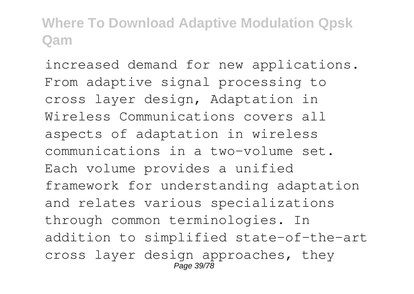increased demand for new applications. From adaptive signal processing to cross layer design, Adaptation in Wireless Communications covers all aspects of adaptation in wireless communications in a two-volume set. Each volume provides a unified framework for understanding adaptation and relates various specializations through common terminologies. In addition to simplified state-of-the-art cross layer design approaches, they  $P$ age 39/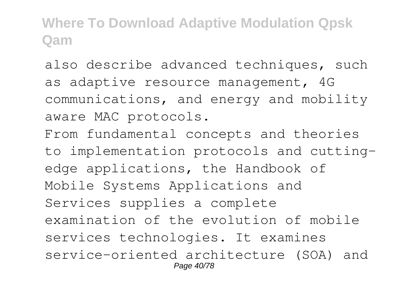also describe advanced techniques, such as adaptive resource management, 4G communications, and energy and mobility aware MAC protocols.

From fundamental concepts and theories to implementation protocols and cuttingedge applications, the Handbook of Mobile Systems Applications and Services supplies a complete examination of the evolution of mobile services technologies. It examines service-oriented architecture (SOA) and Page 40/78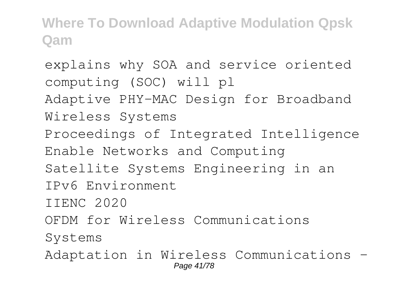explains why SOA and service oriented computing (SOC) will pl Adaptive PHY-MAC Design for Broadband Wireless Systems Proceedings of Integrated Intelligence Enable Networks and Computing Satellite Systems Engineering in an IPv6 Environment IIENC 2020 OFDM for Wireless Communications Systems Adaptation in Wireless Communications - Page 41/78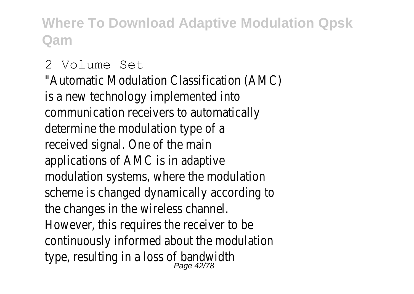#### 2 Volume Set

"Automatic Modulation Classification (AMC) is a new technology implemented into communication receivers to automatically determine the modulation type of a received signal. One of the main applications of AMC is in adaptive modulation systems, where the modulation scheme is changed dynamically according to the changes in the wireless channel. However, this requires the receiver to be continuously informed about the modulation type, resulting in a loss of bandwidth Page 42/78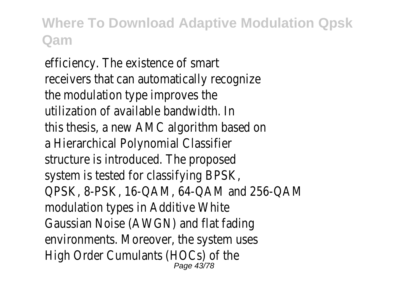efficiency. The existence of smart receivers that can automatically recognize the modulation type improves the utilization of available bandwidth. In this thesis, a new AMC algorithm based on a Hierarchical Polynomial Classifier structure is introduced. The proposed system is tested for classifying BPSK, QPSK, 8-PSK, 16-QAM, 64-QAM and 256-QAM modulation types in Additive White Gaussian Noise (AWGN) and flat fading environments. Moreover, the system uses High Order Cumulants (HOCs) of the Page 43/78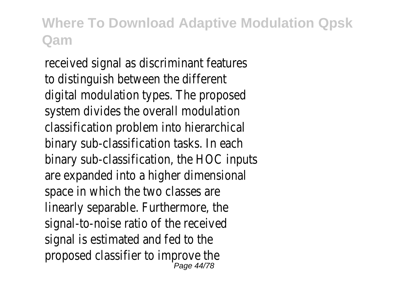received signal as discriminant features to distinguish between the different digital modulation types. The proposed system divides the overall modulation classification problem into hierarchical binary sub-classification tasks. In each binary sub-classification, the HOC inputs are expanded into a higher dimensional space in which the two classes are linearly separable. Furthermore, the signal-to-noise ratio of the received signal is estimated and fed to the proposed classifier to improve the Page 44/78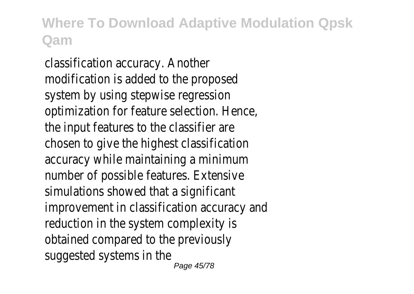classification accuracy. Another modification is added to the proposed system by using stepwise regression optimization for feature selection. Hence, the input features to the classifier are chosen to give the highest classification accuracy while maintaining a minimum number of possible features. Extensive simulations showed that a significant improvement in classification accuracy and reduction in the system complexity is obtained compared to the previously suggested systems in the Page 45/78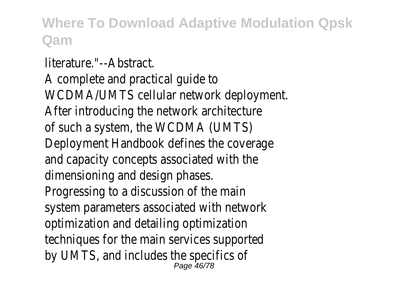literature."--Abstract.

A complete and practical guide to WCDMA/UMTS cellular network deployment. After introducing the network architecture of such a system, the WCDMA (UMTS) Deployment Handbook defines the coverage and capacity concepts associated with the dimensioning and design phases. Progressing to a discussion of the main system parameters associated with network optimization and detailing optimization techniques for the main services supported by UMTS, and includes the specifics of Page 46/78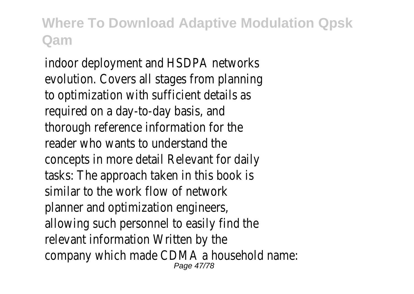indoor deployment and HSDPA networks evolution. Covers all stages from planning to optimization with sufficient details as required on a day-to-day basis, and thorough reference information for the reader who wants to understand the concepts in more detail Relevant for daily tasks: The approach taken in this book is similar to the work flow of network planner and optimization engineers, allowing such personnel to easily find the relevant information Written by the company which made CDMA a household name: Page 47/78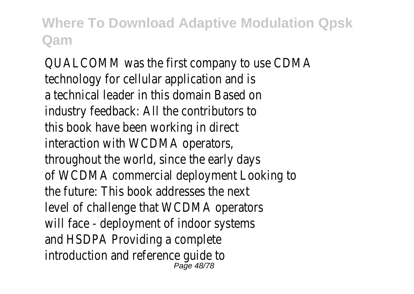QUALCOMM was the first company to use CDMA technology for cellular application and is a technical leader in this domain Based on industry feedback: All the contributors to this book have been working in direct interaction with WCDMA operators, throughout the world, since the early days of WCDMA commercial deployment Looking to the future: This book addresses the next level of challenge that WCDMA operators will face - deployment of indoor systems and HSDPA Providing a complete introduction and reference guide to Page 48/78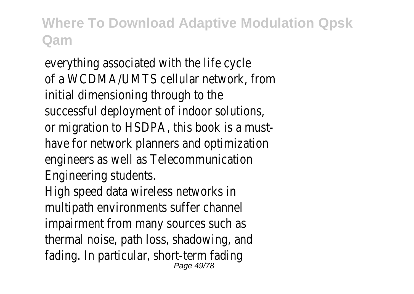everything associated with the life cycle of a WCDMA/UMTS cellular network, from initial dimensioning through to the successful deployment of indoor solutions, or migration to HSDPA, this book is a musthave for network planners and optimization engineers as well as Telecommunication Engineering students.

High speed data wireless networks in multipath environments suffer channel impairment from many sources such as thermal noise, path loss, shadowing, and fading. In particular, short-term fading Page 49/78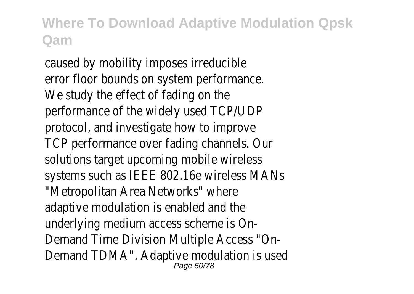caused by mobility imposes irreducible error floor bounds on system performance. We study the effect of fading on the performance of the widely used TCP/UDP protocol, and investigate how to improve TCP performance over fading channels. Our solutions target upcoming mobile wireless systems such as IEEE 802.16e wireless MANs "Metropolitan Area Networks" where adaptive modulation is enabled and the underlying medium access scheme is On-Demand Time Division Multiple Access "On-Demand TDMA". Adaptive modulation is used Page  $50/$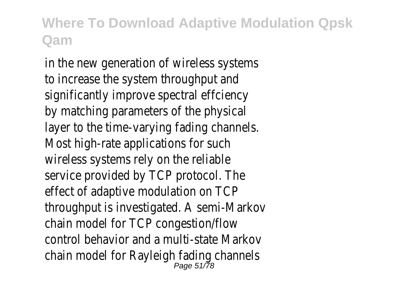in the new generation of wireless systems to increase the system throughput and significantly improve spectral effciency by matching parameters of the physical layer to the time-varying fading channels. Most high-rate applications for such wireless systems rely on the reliable service provided by TCP protocol. The effect of adaptive modulation on TCP throughput is investigated. A semi-Markov chain model for TCP congestion/flow control behavior and a multi-state Markov chain model for Rayleigh fading channels Page 51/78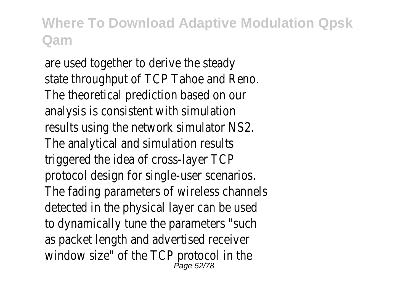are used together to derive the steady state throughput of TCP Tahoe and Reno. The theoretical prediction based on our analysis is consistent with simulation results using the network simulator NS2. The analytical and simulation results triggered the idea of cross-layer TCP protocol design for single-user scenarios. The fading parameters of wireless channels detected in the physical layer can be used to dynamically tune the parameters "such as packet length and advertised receiver window size" of the TCP protocol in the Page 52/78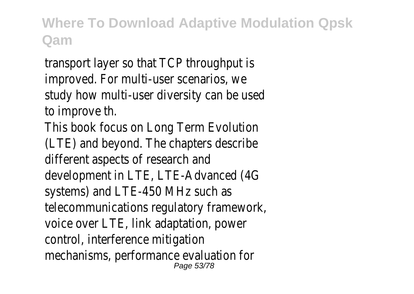transport layer so that TCP throughput is improved. For multi-user scenarios, we study how multi-user diversity can be used to improve th.

This book focus on Long Term Evolution (LTE) and beyond. The chapters describe different aspects of research and development in LTE, LTE-Advanced (4G systems) and LTE-450 MHz such as telecommunications regulatory framework, voice over LTE, link adaptation, power control, interference mitigation mechanisms, performance evaluation for Page 53/78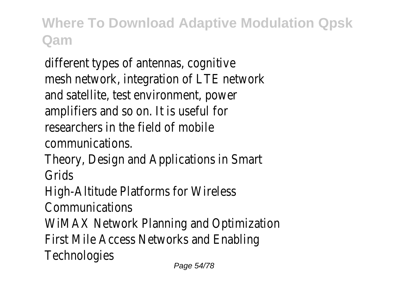different types of antennas, cognitive mesh network, integration of LTE network and satellite, test environment, power amplifiers and so on. It is useful for researchers in the field of mobile communications.

Theory, Design and Applications in Smart Grids

High-Altitude Platforms for Wireless

Communications

WiMAX Network Planning and Optimization

First Mile Access Networks and Enabling

**Technologies**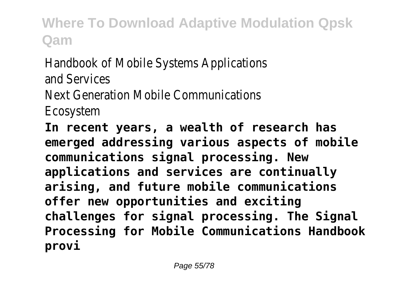Handbook of Mobile Systems Applications and Services Next Generation Mobile Communications Ecosystem

**In recent years, a wealth of research has emerged addressing various aspects of mobile communications signal processing. New applications and services are continually arising, and future mobile communications offer new opportunities and exciting challenges for signal processing. The Signal Processing for Mobile Communications Handbook provi**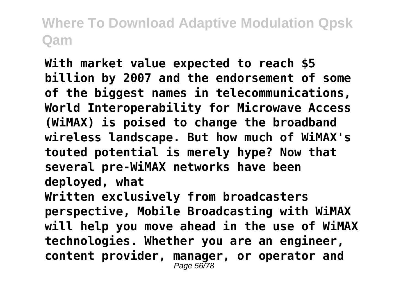**With market value expected to reach \$5 billion by 2007 and the endorsement of some of the biggest names in telecommunications, World Interoperability for Microwave Access (WiMAX) is poised to change the broadband wireless landscape. But how much of WiMAX's touted potential is merely hype? Now that several pre-WiMAX networks have been deployed, what Written exclusively from broadcasters perspective, Mobile Broadcasting with WiMAX will help you move ahead in the use of WiMAX technologies. Whether you are an engineer, content provider, manager, or operator and** Page 56778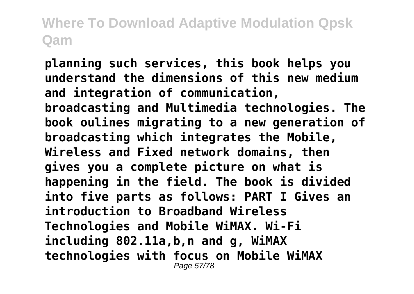**planning such services, this book helps you understand the dimensions of this new medium and integration of communication, broadcasting and Multimedia technologies. The book oulines migrating to a new generation of broadcasting which integrates the Mobile, Wireless and Fixed network domains, then gives you a complete picture on what is happening in the field. The book is divided into five parts as follows: PART I Gives an introduction to Broadband Wireless Technologies and Mobile WiMAX. Wi-Fi including 802.11a,b,n and g, WiMAX technologies with focus on Mobile WiMAX** Page 57/78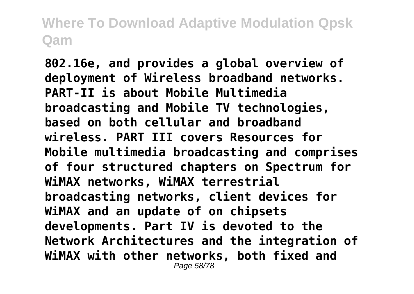**802.16e, and provides a global overview of deployment of Wireless broadband networks. PART-II is about Mobile Multimedia broadcasting and Mobile TV technologies, based on both cellular and broadband wireless. PART III covers Resources for Mobile multimedia broadcasting and comprises of four structured chapters on Spectrum for WiMAX networks, WiMAX terrestrial broadcasting networks, client devices for WiMAX and an update of on chipsets developments. Part IV is devoted to the Network Architectures and the integration of WiMAX with other networks, both fixed and** Page 58/78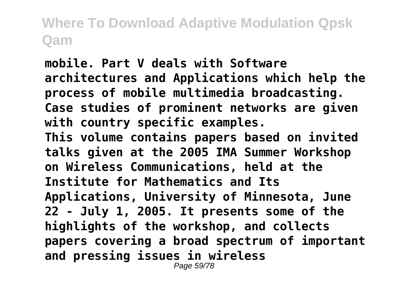**mobile. Part V deals with Software architectures and Applications which help the process of mobile multimedia broadcasting. Case studies of prominent networks are given with country specific examples. This volume contains papers based on invited talks given at the 2005 IMA Summer Workshop on Wireless Communications, held at the Institute for Mathematics and Its Applications, University of Minnesota, June 22 - July 1, 2005. It presents some of the highlights of the workshop, and collects papers covering a broad spectrum of important and pressing issues in wireless** Page 59/78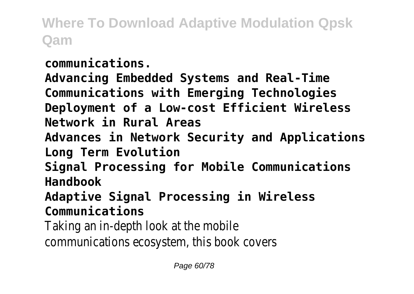**communications.**

**Advancing Embedded Systems and Real-Time Communications with Emerging Technologies Deployment of a Low-cost Efficient Wireless Network in Rural Areas Advances in Network Security and Applications Long Term Evolution Signal Processing for Mobile Communications Handbook Adaptive Signal Processing in Wireless**

**Communications**

Taking an in-depth look at the mobile

communications ecosystem, this book covers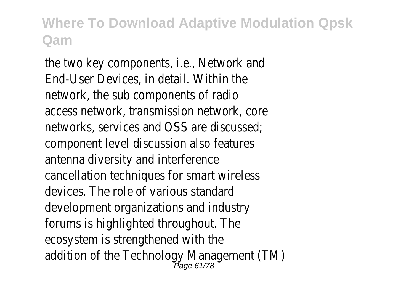the two key components, i.e., Network and End-User Devices, in detail. Within the network, the sub components of radio access network, transmission network, core networks, services and OSS are discussed; component level discussion also features antenna diversity and interference cancellation techniques for smart wireless devices. The role of various standard development organizations and industry forums is highlighted throughout. The ecosystem is strengthened with the addition of the Technology Management (TM) Page 61/78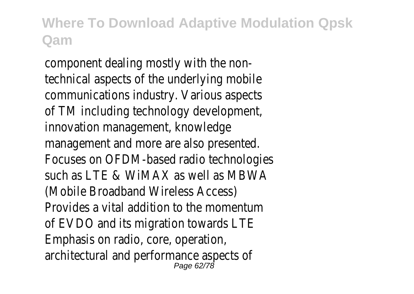component dealing mostly with the nontechnical aspects of the underlying mobile communications industry. Various aspects of TM including technology development, innovation management, knowledge management and more are also presented. Focuses on OFDM-based radio technologies such as LTE & WiMAX as well as MBWA (Mobile Broadband Wireless Access) Provides a vital addition to the momentum of EVDO and its migration towards LTE Emphasis on radio, core, operation, architectural and performance aspects of Page 62/78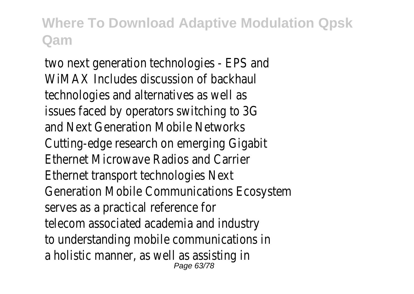two next generation technologies - EPS and WiMAX Includes discussion of backhaul technologies and alternatives as well as issues faced by operators switching to 3G and Next Generation Mobile Networks Cutting-edge research on emerging Gigabit Ethernet Microwave Radios and Carrier Ethernet transport technologies Next Generation Mobile Communications Ecosystem serves as a practical reference for telecom associated academia and industry to understanding mobile communications in a holistic manner, as well as assisting in Page 63/78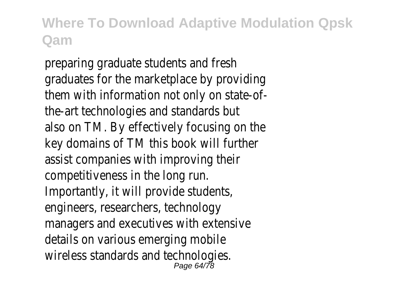preparing graduate students and fresh graduates for the marketplace by providing them with information not only on state-ofthe-art technologies and standards but also on TM. By effectively focusing on the key domains of TM this book will further assist companies with improving their competitiveness in the long run. Importantly, it will provide students, engineers, researchers, technology managers and executives with extensive details on various emerging mobile wireless standards and technologies. Page 64/78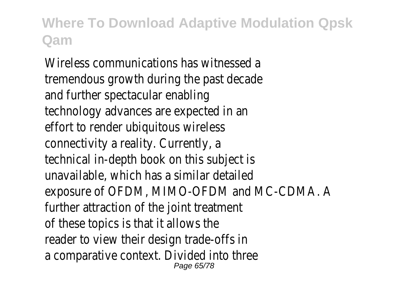Wireless communications has witnessed a tremendous growth during the past decade and further spectacular enabling technology advances are expected in an effort to render ubiquitous wireless connectivity a reality. Currently, a technical in-depth book on this subject is unavailable, which has a similar detailed exposure of OFDM, MIMO-OFDM and MC-CDMA. A further attraction of the joint treatment of these topics is that it allows the reader to view their design trade-offs in a comparative context. Divided into three Page 65/78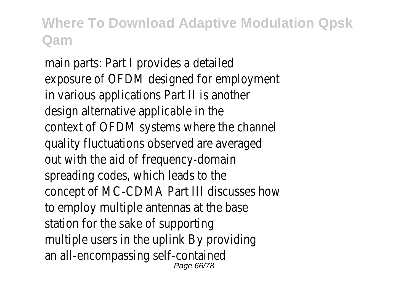main parts: Part I provides a detailed exposure of OFDM designed for employment in various applications Part II is another design alternative applicable in the context of OFDM systems where the channel quality fluctuations observed are averaged out with the aid of frequency-domain spreading codes, which leads to the concept of MC-CDMA Part III discusses how to employ multiple antennas at the base station for the sake of supporting multiple users in the uplink By providing an all-encompassing self-contained Page 66/78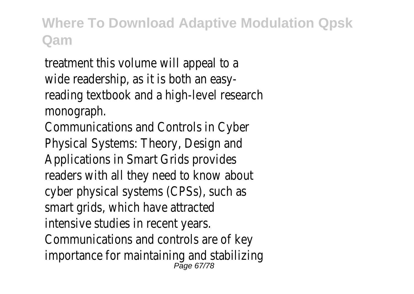treatment this volume will appeal to a wide readership, as it is both an easyreading textbook and a high-level research monograph.

Communications and Controls in Cyber Physical Systems: Theory, Design and Applications in Smart Grids provides readers with all they need to know about cyber physical systems (CPSs), such as smart grids, which have attracted intensive studies in recent years. Communications and controls are of key importance for maintaining and stabilizing Page 67/78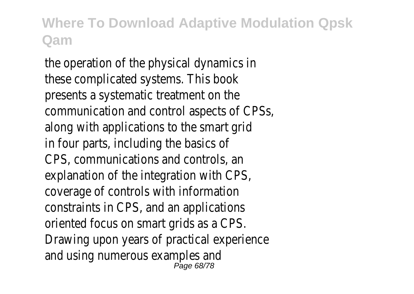the operation of the physical dynamics in these complicated systems. This book presents a systematic treatment on the communication and control aspects of CPSs, along with applications to the smart grid in four parts, including the basics of CPS, communications and controls, an explanation of the integration with CPS, coverage of controls with information constraints in CPS, and an applications oriented focus on smart grids as a CPS. Drawing upon years of practical experience and using numerous examples and Page 68/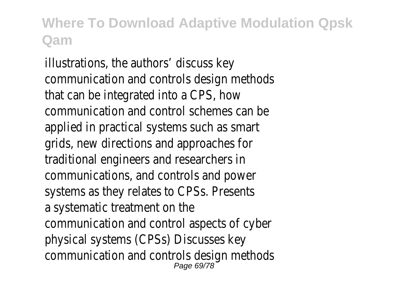illustrations, the authors' discuss key communication and controls design methods that can be integrated into a CPS, how communication and control schemes can be applied in practical systems such as smart grids, new directions and approaches for traditional engineers and researchers in communications, and controls and power systems as they relates to CPSs. Presents a systematic treatment on the communication and control aspects of cyber physical systems (CPSs) Discusses key communication and controls design methods Page 69/78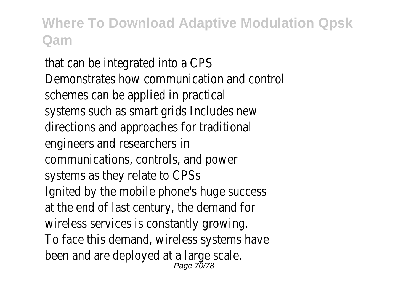that can be integrated into a CPS Demonstrates how communication and control schemes can be applied in practical systems such as smart grids Includes new directions and approaches for traditional engineers and researchers in communications, controls, and power systems as they relate to CPSs Ignited by the mobile phone's huge success at the end of last century, the demand for wireless services is constantly growing. To face this demand, wireless systems have been and are deployed at a large scale. Page 70/78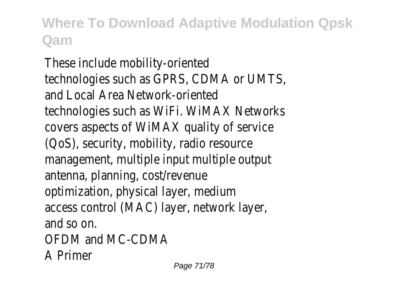These include mobility-oriented technologies such as GPRS, CDMA or UMTS, and Local Area Network-oriented technologies such as WiFi. WiMAX Networks covers aspects of WiMAX quality of service (QoS), security, mobility, radio resource management, multiple input multiple output antenna, planning, cost/revenue optimization, physical layer, medium access control (MAC) layer, network layer, and so on. OFDM and MC-CDMA A Primer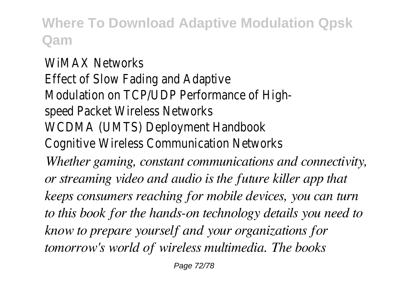WiMAX Networks Effect of Slow Fading and Adaptive Modulation on TCP/UDP Performance of Highspeed Packet Wireless Networks WCDMA (UMTS) Deployment Handbook Cognitive Wireless Communication Networks *Whether gaming, constant communications and connectivity, or streaming video and audio is the future killer app that keeps consumers reaching for mobile devices, you can turn to this book for the hands-on technology details you need to know to prepare yourself and your organizations for tomorrow's world of wireless multimedia. The books*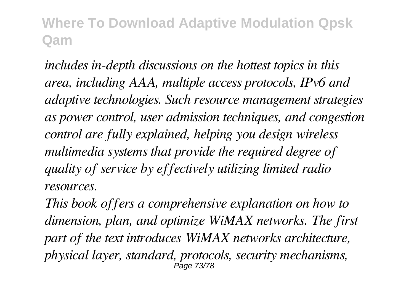*includes in-depth discussions on the hottest topics in this area, including AAA, multiple access protocols, IPv6 and adaptive technologies. Such resource management strategies as power control, user admission techniques, and congestion control are fully explained, helping you design wireless multimedia systems that provide the required degree of quality of service by effectively utilizing limited radio resources.*

*This book offers a comprehensive explanation on how to dimension, plan, and optimize WiMAX networks. The first part of the text introduces WiMAX networks architecture, physical layer, standard, protocols, security mechanisms,* Page 73/78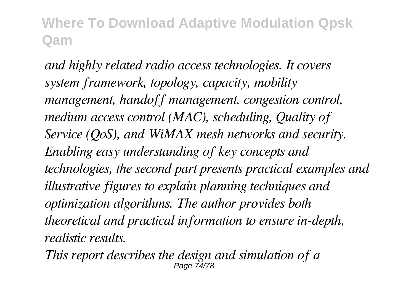*and highly related radio access technologies. It covers system framework, topology, capacity, mobility management, handoff management, congestion control, medium access control (MAC), scheduling, Quality of Service (QoS), and WiMAX mesh networks and security. Enabling easy understanding of key concepts and technologies, the second part presents practical examples and illustrative figures to explain planning techniques and optimization algorithms. The author provides both theoretical and practical information to ensure in-depth, realistic results.*

*This report describes the design and simulation of a* Page 74/78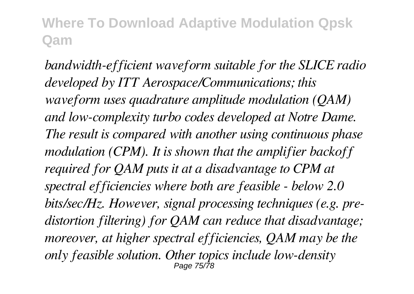*bandwidth-efficient waveform suitable for the SLICE radio developed by ITT Aerospace/Communications; this waveform uses quadrature amplitude modulation (QAM) and low-complexity turbo codes developed at Notre Dame. The result is compared with another using continuous phase modulation (CPM). It is shown that the amplifier backoff required for QAM puts it at a disadvantage to CPM at spectral efficiencies where both are feasible - below 2.0 bits/sec/Hz. However, signal processing techniques (e.g. predistortion filtering) for QAM can reduce that disadvantage; moreover, at higher spectral efficiencies, QAM may be the only feasible solution. Other topics include low-density* Page 75/78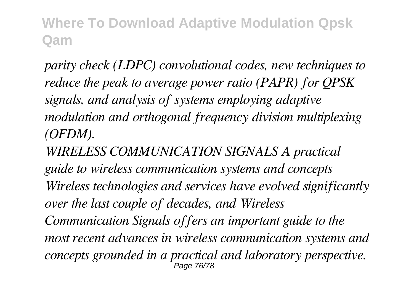*parity check (LDPC) convolutional codes, new techniques to reduce the peak to average power ratio (PAPR) for QPSK signals, and analysis of systems employing adaptive modulation and orthogonal frequency division multiplexing (OFDM).*

*WIRELESS COMMUNICATION SIGNALS A practical guide to wireless communication systems and concepts Wireless technologies and services have evolved significantly over the last couple of decades, and Wireless Communication Signals offers an important guide to the most recent advances in wireless communication systems and concepts grounded in a practical and laboratory perspective.* Page 76/78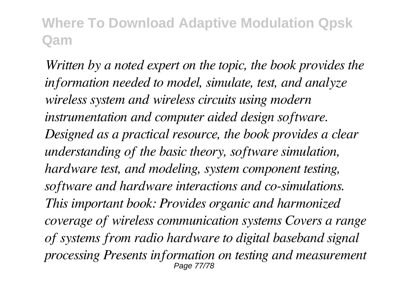*Written by a noted expert on the topic, the book provides the information needed to model, simulate, test, and analyze wireless system and wireless circuits using modern instrumentation and computer aided design software. Designed as a practical resource, the book provides a clear understanding of the basic theory, software simulation, hardware test, and modeling, system component testing, software and hardware interactions and co-simulations. This important book: Provides organic and harmonized coverage of wireless communication systems Covers a range of systems from radio hardware to digital baseband signal processing Presents information on testing and measurement* Page 77/78